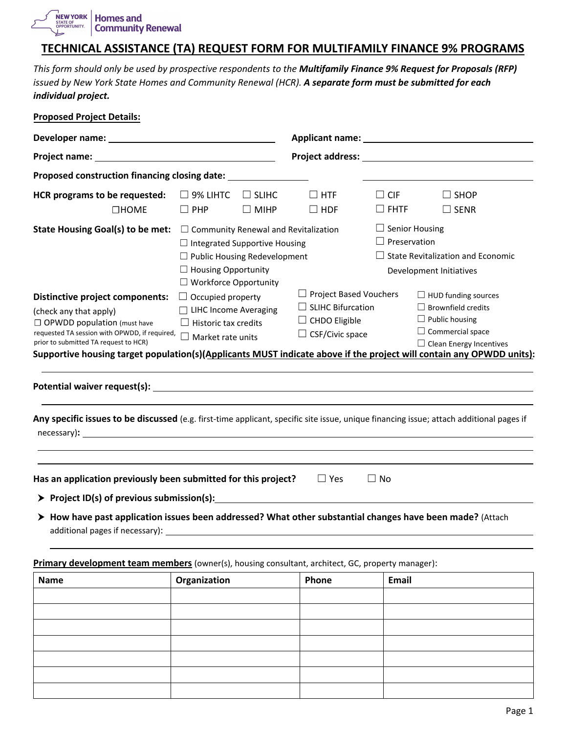NEW YORK **Homes and** STATE OF OPPORTUNITY. **Community Renewal** 

## **TECHNICAL ASSISTANCE (TA) REQUEST FORM FOR MULTIFAMILY FINANCE 9% PROGRAMS**

*This form should only be used by prospective respondents to the Multifamily Finance 9% Request for Proposals (RFP) issued by New York State Homes and Community Renewal (HCR). A separate form must be submitted for each individual project.* 

| <b>Proposed Project Details:</b>                                                                                                                                                                 |                                                                                                                |                                                                             |                                                                                                                                                                                                                                     |                           |                                                                                                                                                                                                                                                                       |  |
|--------------------------------------------------------------------------------------------------------------------------------------------------------------------------------------------------|----------------------------------------------------------------------------------------------------------------|-----------------------------------------------------------------------------|-------------------------------------------------------------------------------------------------------------------------------------------------------------------------------------------------------------------------------------|---------------------------|-----------------------------------------------------------------------------------------------------------------------------------------------------------------------------------------------------------------------------------------------------------------------|--|
|                                                                                                                                                                                                  |                                                                                                                |                                                                             |                                                                                                                                                                                                                                     |                           |                                                                                                                                                                                                                                                                       |  |
|                                                                                                                                                                                                  |                                                                                                                |                                                                             | <b>Project address:</b> The contract of the contract of the contract of the contract of the contract of the contract of the contract of the contract of the contract of the contract of the contract of the contract of the contrac |                           |                                                                                                                                                                                                                                                                       |  |
| Proposed construction financing closing date:                                                                                                                                                    |                                                                                                                |                                                                             |                                                                                                                                                                                                                                     |                           |                                                                                                                                                                                                                                                                       |  |
| HCR programs to be requested:<br>$\Box$ HOME                                                                                                                                                     | $\Box$ 9% LIHTC<br>$\Box$ PHP                                                                                  | $\Box$ slihe<br>$\Box$ MIHP                                                 | $\Box$ HTF<br>$\Box$ HDF                                                                                                                                                                                                            | $\Box$ CIF<br>$\Box$ FHTF | $\Box$ SHOP<br>$\Box$ SENR                                                                                                                                                                                                                                            |  |
| State Housing Goal(s) to be met:                                                                                                                                                                 | $\Box$ Community Renewal and Revitalization<br>$\Box$ Housing Opportunity<br>□ Workforce Opportunity           | $\Box$ Integrated Supportive Housing<br>$\Box$ Public Housing Redevelopment |                                                                                                                                                                                                                                     |                           | $\Box$ Senior Housing<br>$\Box$ Preservation<br>$\Box$ State Revitalization and Economic<br>Development Initiatives                                                                                                                                                   |  |
| <b>Distinctive project components:</b><br>(check any that apply)<br>$\Box$ OPWDD population (must have<br>requested TA session with OPWDD, if required,<br>prior to submitted TA request to HCR) | $\Box$ Occupied property<br>□ LIHC Income Averaging<br>$\Box$ Historic tax credits<br>$\Box$ Market rate units |                                                                             | $\Box$ Project Based Vouchers<br>$\Box$ SLIHC Bifurcation<br>$\Box$ CHDO Eligible<br>$\Box$ CSF/Civic space                                                                                                                         |                           | $\Box$ HUD funding sources<br>$\Box$ Brownfield credits<br>$\Box$ Public housing<br>$\Box$ Commercial space<br>$\Box$ Clean Energy Incentives<br>Supportive housing target population(s)(Applicants MUST indicate above if the project will contain any OPWDD units): |  |
| Any specific issues to be discussed (e.g. first-time applicant, specific site issue, unique financing issue; attach additional pages if                                                          |                                                                                                                |                                                                             |                                                                                                                                                                                                                                     |                           |                                                                                                                                                                                                                                                                       |  |
| Has an application previously been submitted for this project?<br>$\triangleright$ Project ID(s) of previous submission(s): $\blacksquare$                                                       |                                                                                                                |                                                                             | $\Box$ Yes                                                                                                                                                                                                                          | $\Box$ No                 |                                                                                                                                                                                                                                                                       |  |
| > How have past application issues been addressed? What other substantial changes have been made? (Attach                                                                                        |                                                                                                                |                                                                             |                                                                                                                                                                                                                                     |                           |                                                                                                                                                                                                                                                                       |  |

**Primary development team members** (owner(s), housing consultant, architect, GC, property manager):

| Name | Organization | Phone | Email |
|------|--------------|-------|-------|
|      |              |       |       |
|      |              |       |       |
|      |              |       |       |
|      |              |       |       |
|      |              |       |       |
|      |              |       |       |
|      |              |       |       |